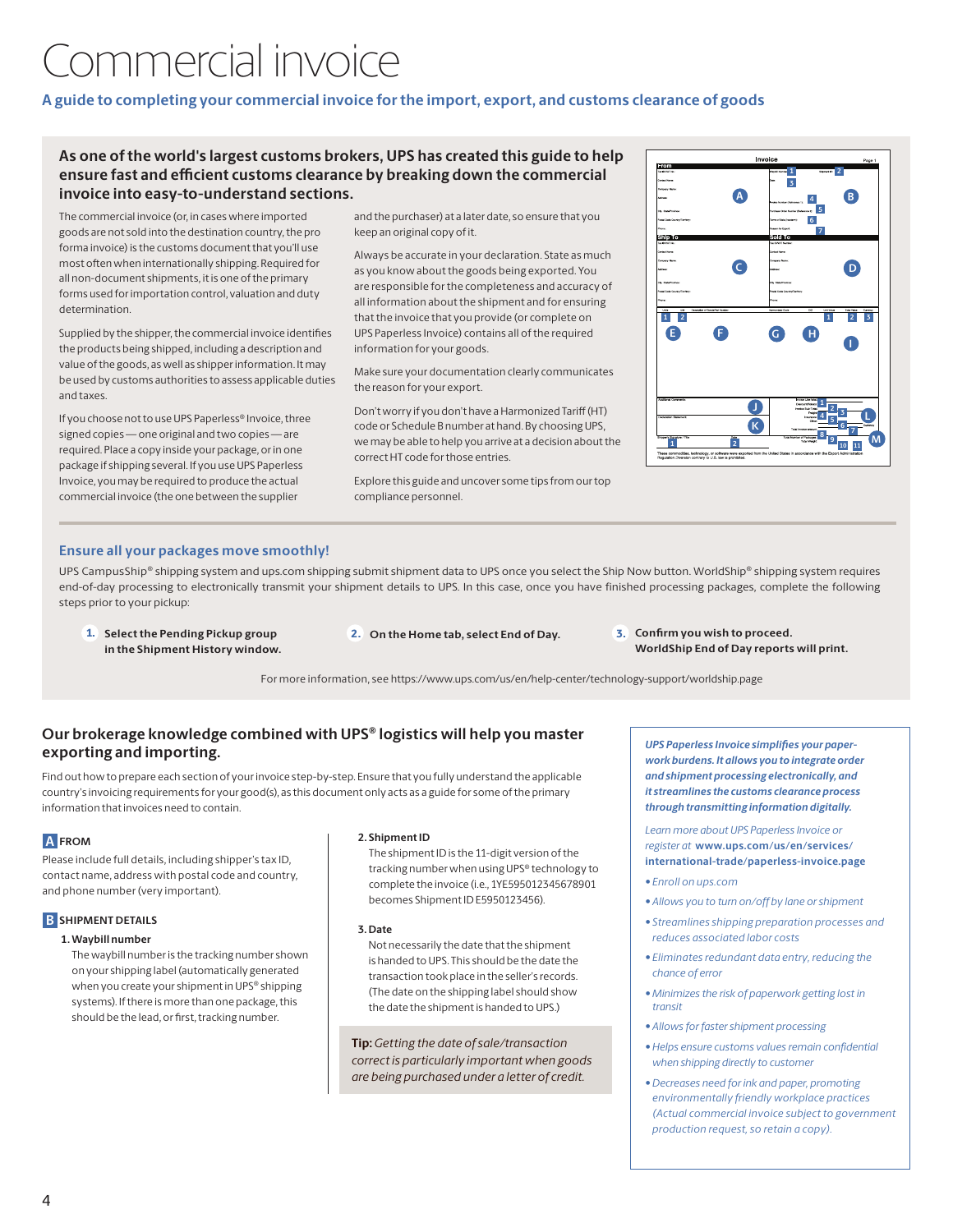# Commercial invoice

# **A guide to completing your commercial invoice for the import, export, and customs clearance of goods**

# **As one of the world's largest customs brokers, UPS has created this guide to help ensure fast and efficient customs clearance by breaking down the commercial invoice into easy-to-understand sections.**

The commercial invoice (or, in cases where imported goods are not sold into the destination country, the pro forma invoice) is the customs document that you'll use most often when internationally shipping. Required for all non-document shipments, it is one of the primary forms used for importation control, valuation and duty determination.

Supplied by the shipper, the commercial invoice identifies the products being shipped, including a description and value of the goods, as well as shipper information. It may be used by customs authorities to assess applicable duties and taxes.

If you choose not to use UPS Paperless® Invoice, three signed copies — one original and two copies — are required. Place a copy inside your package, or in one package if shipping several. If you use UPS Paperless Invoice, you may be required to produce the actual commercial invoice (the one between the supplier

and the purchaser) at a later date, so ensure that you keep an original copy of it.

Always be accurate in your declaration. State as much as you know about the goods being exported. You are responsible for the completeness and accuracy of all information about the shipment and for ensuring that the invoice that you provide (or complete on UPS Paperless Invoice) contains all of the required information for your goods.

Make sure your documentation clearly communicates the reason for your export.

Don't worry if you don't have a Harmonized Tariff (HT) code or Schedule B number at hand. By choosing UPS, we may be able to help you arrive at a decision about the correct HT code for those entries.

Explore this guide and uncover some tips from our top compliance personnel.



# **Ensure all your packages move smoothly!**

UPS CampusShip® shipping system and ups.com shipping submit shipment data to UPS once you select the Ship Now button. WorldShip® shipping system requires end-of-day processing to electronically transmit your shipment details to UPS. In this case, once you have finished processing packages, complete the following steps prior to your pickup:

- 1. **Select the Pending Pickup group in the Shipment History window.**
- 2. On the Home tab, select End of Day. 3. Confirm you wish to proceed.
- **WorldShip End of Day reports will print.**

For more information, see https://www.ups.com/us/en/help-center/technology-support/worldship.page

# **Our brokerage knowledge combined with UPS® logistics will help you master exporting and importing.**

Find out how to prepare each section of your invoice step-by-step. Ensure that you fully understand the applicable country's invoicing requirements for your good(s), as this document only acts as a guide for some of the primary information that invoices need to contain.

# **A FROM**

Please include full details, including shipper's tax ID, contact name, address with postal code and country, and phone number (very important).

# **B** SHIPMENT DETAILS

### **1. Waybill number**

The waybill number is the tracking number shown on your shipping label (automatically generated when you create your shipment in UPS® shipping systems). If there is more than one package, this should be the lead, or first, tracking number.

#### **2. Shipment ID**

The shipment ID is the 11-digit version of the tracking number when using UPS® technology to complete the invoice (i.e., 1YE595012345678901 becomes Shipment ID E5950123456).

#### **3. Date**

Not necessarily the date that the shipment is handed to UPS. This should be the date the transaction took place in the seller's records. (The date on the shipping label should show the date the shipment is handed to UPS.)

**Tip:** *Getting the date of sale/transaction correct is particularly important when goods are being purchased under a letter of credit.*

*UPS Paperless Invoice simplifies your paperwork burdens. It allows you to integrate order and shipment processing electronically, and it streamlines the customs clearance process through transmitting information digitally.*

*Learn more about UPS Paperless Invoice or register at* **www.ups.com/us/en/services/ [international-trade/paperless-invoice.page](www.ups.com/us/en/services/international-trade/paperless-invoice.page)** 

- *• Enroll on ups.com*
- *• Allows you to turn on/off by lane or shipment*
- *• Streamlines shipping preparation processes and reduces associated labor costs*
- *• Eliminates redundant data entry, reducing the chance of error*
- *• Minimizes the risk of paperwork getting lost in transit*
- *• Allows for faster shipment processing*
- *• Helps ensure customs values remain confidential when shipping directly to customer*
- *• Decreases need for ink and paper, promoting environmentally friendly workplace practices (Actual commercial invoice subject to government production request, so retain a copy).*